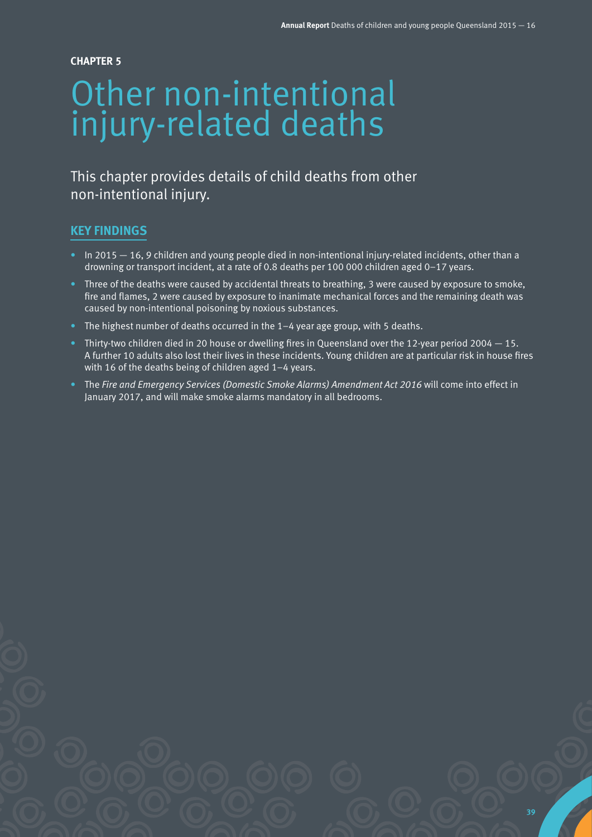#### **CHAPTER 5**

# Other non-intentional injury-related deaths

# This chapter provides details of child deaths from other non-intentional injury.

#### **KEY FINDINGS**

- In 2015 16, 9 children and young people died in non-intentional injury-related incidents, other than a drowning or transport incident, at a rate of 0.8 deaths per 100 000 children aged 0–17 years.
- Three of the deaths were caused by accidental threats to breathing, 3 were caused by exposure to smoke, fire and flames, 2 were caused by exposure to inanimate mechanical forces and the remaining death was caused by non-intentional poisoning by noxious substances.
- The highest number of deaths occurred in the  $1-4$  year age group, with 5 deaths.
- Thirty-two children died in 20 house or dwelling fires in Queensland over the 12-year period 2004 15. A further 10 adults also lost their lives in these incidents. Young children are at particular risk in house fires with 16 of the deaths being of children aged 1–4 years.
- The *Fire and Emergency Services (Domestic Smoke Alarms) Amendment Act 2016* will come into effect in January 2017, and will make smoke alarms mandatory in all bedrooms.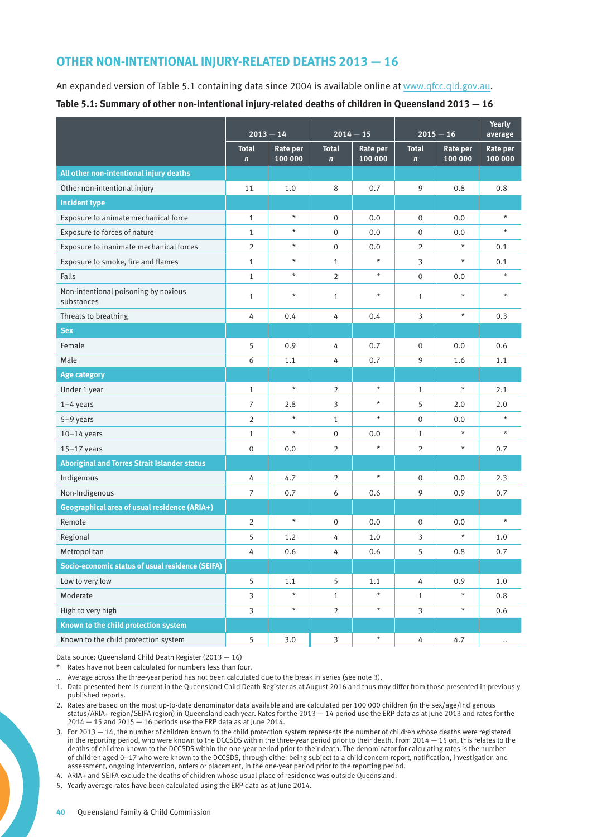### **OTHER NON-INTENTIONAL INJURY-RELATED DEATHS 2013 — 16**

An expanded version of Table 5.1 containing data since 2004 is available online at [www.qfcc.qld.gov.au](http://www.qfcc.qld.gov.au). **Table 5.1: Summary of other non-intentional injury-related deaths of children in Queensland 2013 — 16**

|                                                     | $2013 - 14$                 |                            | $2014 - 15$                  |                     | $2015 - 16$                 |                            | <b>Yearly</b><br>average |
|-----------------------------------------------------|-----------------------------|----------------------------|------------------------------|---------------------|-----------------------------|----------------------------|--------------------------|
|                                                     | <b>Total</b><br>$\mathbf n$ | <b>Rate per</b><br>100 000 | <b>Total</b><br>$\mathbf{n}$ | Rate per<br>100 000 | <b>Total</b><br>$\mathbf n$ | <b>Rate per</b><br>100 000 | Rate per<br>100 000      |
| All other non-intentional injury deaths             |                             |                            |                              |                     |                             |                            |                          |
| Other non-intentional injury                        | 11                          | 1.0                        | 8                            | 0.7                 | 9                           | 0.8                        | 0.8                      |
| <b>Incident type</b>                                |                             |                            |                              |                     |                             |                            |                          |
| Exposure to animate mechanical force                | $\mathbf{1}$                | $\star$                    | $\mathbf{0}$                 | 0.0                 | $\mathbf{0}$                | 0.0                        | $\star$                  |
| Exposure to forces of nature                        | $\mathbf{1}$                | $\star$                    | $\mathbf 0$                  | 0.0                 | $\mathbf 0$                 | 0.0                        | $\star$                  |
| Exposure to inanimate mechanical forces             | $\overline{2}$              | $\star$                    | $\mathbf 0$                  | 0.0                 | $\overline{2}$              | $\star$                    | 0.1                      |
| Exposure to smoke, fire and flames                  | $\mathbf{1}$                | $\star$                    | $\mathbf{1}$                 | $\star$             | 3                           | $\star$                    | 0.1                      |
| Falls                                               | $\mathbf{1}$                | $\star$                    | $\overline{2}$               | $\star$             | $\mathsf{O}\xspace$         | 0.0                        | $\star$                  |
| Non-intentional poisoning by noxious<br>substances  | $\mathbf{1}$                | $\star$                    | $\mathbf{1}$                 | $\star$             | $\mathbf{1}$                | $\star$                    | $\star$                  |
| Threats to breathing                                | 4                           | 0.4                        | 4                            | 0.4                 | 3                           | $\star$                    | 0.3                      |
| <b>Sex</b>                                          |                             |                            |                              |                     |                             |                            |                          |
| Female                                              | 5                           | 0.9                        | 4                            | 0.7                 | $\mathbf 0$                 | 0.0                        | 0.6                      |
| Male                                                | 6                           | 1.1                        | 4                            | 0.7                 | 9                           | 1.6                        | 1.1                      |
| <b>Age category</b>                                 |                             |                            |                              |                     |                             |                            |                          |
| Under 1 year                                        | $\mathbf{1}$                | $\star$                    | $\overline{2}$               | $\star$             | $\mathbf{1}$                | $\star$                    | 2.1                      |
| $1-4$ years                                         | $\overline{7}$              | 2.8                        | 3                            | $\star$             | 5                           | 2.0                        | 2.0                      |
| 5-9 years                                           | $\overline{2}$              | $\star$                    | $\mathbf{1}$                 | $\star$             | $\mathbf 0$                 | 0.0                        | $\star$                  |
| $10-14$ years                                       | $\mathbf{1}$                | $\star$                    | $\mathbf{0}$                 | 0.0                 | $\mathbf{1}$                | $\star$                    | $\star$                  |
| $15-17$ years                                       | $\mathbf{0}$                | 0.0                        | $\overline{2}$               | $\star$             | $\overline{2}$              | $\star$                    | 0.7                      |
| <b>Aboriginal and Torres Strait Islander status</b> |                             |                            |                              |                     |                             |                            |                          |
| Indigenous                                          | 4                           | 4.7                        | $\overline{2}$               | $\star$             | $\mathbf 0$                 | 0.0                        | 2.3                      |
| Non-Indigenous                                      | $\overline{7}$              | 0.7                        | 6                            | 0.6                 | 9                           | 0.9                        | 0.7                      |
| Geographical area of usual residence (ARIA+)        |                             |                            |                              |                     |                             |                            |                          |
| Remote                                              | $\overline{2}$              | $\star$                    | $\mathbf 0$                  | 0.0                 | 0                           | 0.0                        | $\star$                  |
| Regional                                            | 5                           | 1.2                        | 4                            | 1.0                 | 3                           | $\star$                    | 1.0                      |
| Metropolitan                                        | 4                           | 0.6                        | 4                            | 0.6                 | 5                           | 0.8                        | 0.7                      |
| Socio-economic status of usual residence (SEIFA)    |                             |                            |                              |                     |                             |                            |                          |
| Low to very low                                     | 5                           | 1.1                        | 5                            | 1.1                 | 4                           | 0.9                        | 1.0                      |
| Moderate                                            | $\overline{3}$              | $\star$                    | $\mathbf{1}$                 | $\star$             | $\mathbf{1}$                | $\star$                    | 0.8                      |
| High to very high                                   | $\overline{\mathbf{3}}$     | $\star$                    | $\overline{2}$               | $\star$             | $\overline{\mathbf{3}}$     | $\star$                    | 0.6                      |
| Known to the child protection system                |                             |                            |                              |                     |                             |                            |                          |
| Known to the child protection system                | 5                           | 3.0                        | $\overline{\mathbf{3}}$      | $\star$             | 4                           | 4.7                        | $\ldots$                 |

Data source: Queensland Child Death Register (2013 — 16)

\* Rates have not been calculated for numbers less than four.

.. Average across the three-year period has not been calculated due to the break in series (see note 3).

1. Data presented here is current in the Queensland Child Death Register as at August 2016 and thus may differ from those presented in previously published reports.

2. Rates are based on the most up-to-date denominator data available and are calculated per 100 000 children (in the sex/age/Indigenous status/ARIA+ region/SEIFA region) in Queensland each year. Rates for the 2013 — 14 period use the ERP data as at June 2013 and rates for the  $2014 - 15$  and  $2015 - 16$  periods use the ERP data as at June 2014.

3. For 2013 — 14, the number of children known to the child protection system represents the number of children whose deaths were registered in the reporting period, who were known to the DCCSDS within the three-year period prior to their death. From 2014 — 15 on, this relates to the deaths of children known to the DCCSDS within the one-year period prior to their death. The denominator for calculating rates is the number of children aged 0–17 who were known to the DCCSDS, through either being subject to a child concern report, notification, investigation and assessment, ongoing intervention, orders or placement, in the one-year period prior to the reporting period.

4. ARIA+ and SEIFA exclude the deaths of children whose usual place of residence was outside Queensland.

5. Yearly average rates have been calculated using the ERP data as at June 2014.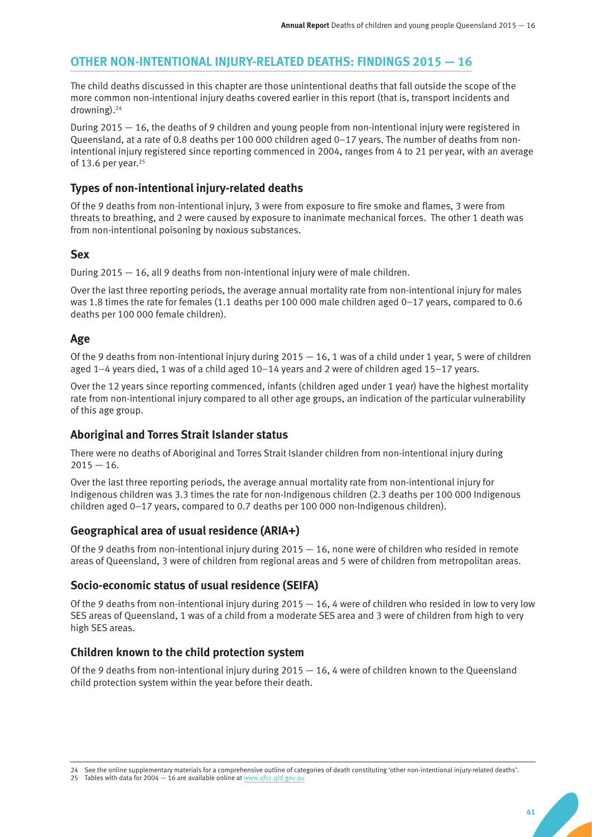# **OTHER NON-INTENTIONAL INJURY-RELATED DEATHS: FINDINGS 2015 — 16**

The child deaths discussed in this chapter are those unintentional deaths that fall outside the scope of the more common non-intentional injury deaths covered earlier in this report (that is, transport incidents and drowning).24

During 2015 — 16, the deaths of 9 children and young people from non-intentional injury were registered in Queensland, at a rate of 0.8 deaths per 100 000 children aged 0–17 years. The number of deaths from nonintentional injury registered since reporting commenced in 2004, ranges from 4 to 21 per year, with an average of 13.6 per year.<sup>25</sup>

#### **Types of non-intentional injury-related deaths**

Of the 9 deaths from non-intentional injury, 3 were from exposure to fire smoke and flames, 3 were from threats to breathing, and 2 were caused by exposure to inanimate mechanical forces. The other 1 death was from non-intentional poisoning by noxious substances.

#### **Sex**

During 2015  $-$  16, all 9 deaths from non-intentional injury were of male children.

Over the last three reporting periods, the average annual mortality rate from non-intentional injury for males was 1.8 times the rate for females (1.1 deaths per 100 000 male children aged 0–17 years, compared to 0.6 deaths per 100 000 female children).

# **Age**

Of the 9 deaths from non-intentional injury during 2015 — 16, 1 was of a child under 1 year, 5 were of children aged 1–4 years died, 1 was of a child aged 10–14 years and 2 were of children aged 15–17 years.

Over the 12 years since reporting commenced, infants (children aged under 1 year) have the highest mortality rate from non-intentional injury compared to all other age groups, an indication of the particular vulnerability of this age group.

# **Aboriginal and Torres Strait Islander status**

There were no deaths of Aboriginal and Torres Strait Islander children from non-intentional injury during  $2015 - 16.$ 

Over the last three reporting periods, the average annual mortality rate from non-intentional injury for Indigenous children was 3.3 times the rate for non-Indigenous children (2.3 deaths per 100 000 Indigenous children aged 0–17 years, compared to 0.7 deaths per 100 000 non-Indigenous children).

#### **Geographical area of usual residence (ARIA+)**

Of the 9 deaths from non-intentional injury during  $2015 - 16$ , none were of children who resided in remote areas of Queensland, 3 were of children from regional areas and 5 were of children from metropolitan areas.

#### **Socio-economic status of usual residence (SEIFA)**

Of the 9 deaths from non-intentional injury during  $2015 - 16$ , 4 were of children who resided in low to very low SES areas of Queensland, 1 was of a child from a moderate SES area and 3 were of children from high to very high SES areas.

# **Children known to the child protection system**

Of the 9 deaths from non-intentional injury during  $2015 - 16$ , 4 were of children known to the Queensland child protection system within the year before their death.

<sup>24</sup> See the online supplementary materials for a comprehensive outline of categories of death constituting 'other non-intentional injury-related deaths'.

<sup>25</sup> Tables with data for 2004 - 16 are available online at [www.qfcc.qld.gov.au](http://www.qfcc.qld.gov.au)